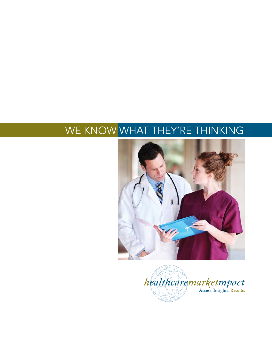## WE KNOW WHAT THEY'RE THINKING



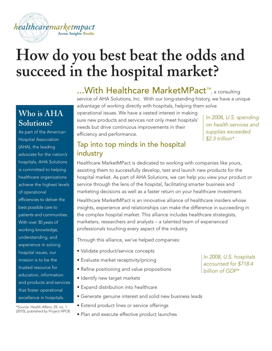### healthcaremarketmpact Access. Insights. Results.

## **How do you best beat the odds and succeed in the hospital market?**

### **Who is AHA Solutions?**

As part of the American Hospital Association (AHA), the leading advocate for the nation's hospitals, AHA Solutions is committed to helping healthcare organizations achieve the highest levels of operational efficiencies to deliver the best possible care to patients and communities. With over 30 years of working knowledge, understanding, and experience in solving hospital issues, our mission is to be the trusted resource for education, information and products and services that foster operational excellence in hospitals.

\*Source: Health Affairs, 29, no. 1 (2010), published by Project HPOE ...With Healthcare MarketMPact™, a consulting

service of AHA Solutions, Inc. With our long-standing history, we have a unique advantage of working directly with hospitals, helping them solve operational issues. We have a vested interest in making

sure new products and services not only meet hospitals' needs but drive continuous improvements in their efficiency and performance.

In 2008, U.S. spending on health services and supplies exceeded \$2.3 trillion\*

#### Tap into top minds in the hospital industry

Healthcare MarketMPact is dedicated to working with companies like yours, assisting them to successfully develop, test and launch new products for the hospital market. As part of AHA Solutions, we can help you view your product or service through the lens of the hospital, facilitating smarter business and marketing decisions as well as a faster return on your healthcare investment.

Healthcare MarketMPact is an innovative alliance of healthcare insiders whose insights, experience and relationships can make the difference in succeeding in the complex hospital market. This alliance includes healthcare strategists, marketers, researchers and analysts – a talented team of experienced professionals touching every aspect of the industry.

Through this alliance, we've helped companies:

- Validate product/service concepts
- Evaluate market receptivity/pricing
- Refine positioning and value propositions
- Identify new target markets
- Expand distribution into healthcare
- Generate genuine interest and solid new business leads
- Extend product lines or service offerings
- Plan and execute effective product launches

In 2008, U.S. hospitals accounted for \$718.4 billion of GDP\*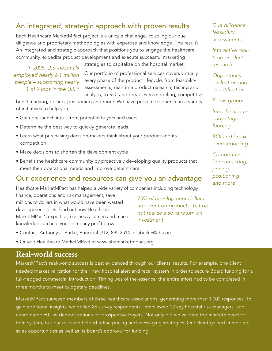#### An integrated, strategic approach with proven results

Each Healthcare MarketMPact project is a unique challenge, coupling our due diligence and proprietary methodologies with expertise and knowledge. The result? An integrated and strategic approach that positions you to engage the healthcare community, expedite product development and execute successful marketing

In 2008, U.S. hospitals employed nearly 6.1 million people – supporting nearly 1 of 9 jobs in the U.S.\*

strategies to capitalize on the hospital market. Our portfolio of professional services covers virtually

every phase of the product lifecycle, from feasibility assessments, real-time product research, testing and analysis, to ROI and break-even modeling, competitive

benchmarking, pricing, positioning and more. We have proven experience in a variety of initiatives to help you:

- Gain pre-launch input from potential buyers and users
- Determine the best way to quickly generate leads
- Learn what purchasing decision-makers think about your product and its competition
- Make decisions to shorten the development cycle
- Benefit the healthcare community by proactively developing quality products that meet their operational needs and improve patient care

#### Our experience and resources can give you an advantage

Healthcare MarketMPact has helped a wide variety of companies including technology, finance, operations and risk management, save millions of dollars in what would have been wasted development costs. Find out how Healthcare MarketMPact's expertise, business acumen and market knowledge can help your company profit grow. investment

75% of development dollars are spent on products that do not realize a solid return on

- Contact: Anthony J. Burke, Principal (312) 895.2514 or aburke@aha.org
- Or visit Healthcare MarketMPact at www.ahamarketmpact.org

#### **Real-world success**

MarketMPact's real-world success is best evidenced through our clients' results. For example, one client needed market validation for their new hospital alert and recall system in order to secure Board funding for a full-fledged commercial introduction. Timing was of the essence; the entire effort had to be completed in three months to meet budgetary deadlines.

MarketMPact surveyed members of three healthcare associations, generating more than 1,000 responses. To gain additional insights, we polled 85 survey respondents, interviewed 12 key hospital risk managers, and coordinated 60 live demonstrations for prospective buyers. Not only did we validate the market's need for their system, but our research helped refine pricing and messaging strategies. Our client gained immediate sales opportunities as well as its Board's approval for funding.

Due diligence feasibility assessments

Interactive realtime product research

**Opportunity** evaluation and quantification

Focus groups

Introduction to early stage funding

ROI and breakeven modeling

**Competitive** benchmarking, pricing, positioning and more